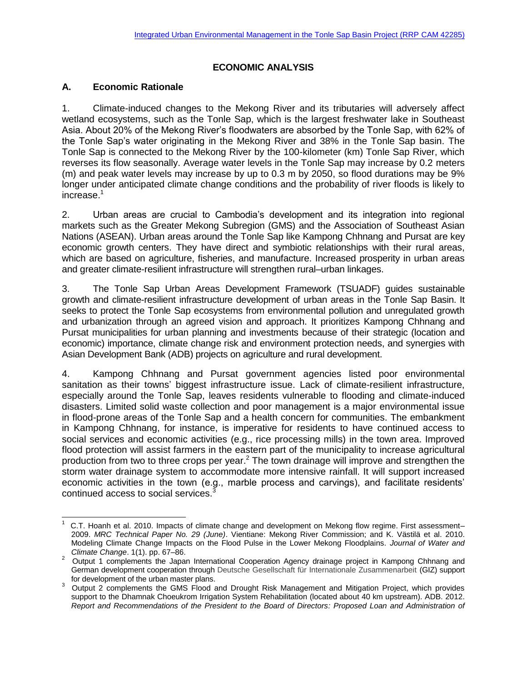#### **ECONOMIC ANALYSIS**

#### **A. Economic Rationale**

l

1. Climate-induced changes to the Mekong River and its tributaries will adversely affect wetland ecosystems, such as the Tonle Sap, which is the largest freshwater lake in Southeast Asia. About 20% of the Mekong River's floodwaters are absorbed by the Tonle Sap, with 62% of the Tonle Sap's water originating in the Mekong River and 38% in the Tonle Sap basin. The Tonle Sap is connected to the Mekong River by the 100-kilometer (km) Tonle Sap River, which reverses its flow seasonally. Average water levels in the Tonle Sap may increase by 0.2 meters (m) and peak water levels may increase by up to 0.3 m by 2050, so flood durations may be 9% longer under anticipated climate change conditions and the probability of river floods is likely to increase.<sup>1</sup>

2. Urban areas are crucial to Cambodia's development and its integration into regional markets such as the Greater Mekong Subregion (GMS) and the Association of Southeast Asian Nations (ASEAN). Urban areas around the Tonle Sap like Kampong Chhnang and Pursat are key economic growth centers. They have direct and symbiotic relationships with their rural areas, which are based on agriculture, fisheries, and manufacture. Increased prosperity in urban areas and greater climate-resilient infrastructure will strengthen rural–urban linkages.

3. The Tonle Sap Urban Areas Development Framework (TSUADF) guides sustainable growth and climate-resilient infrastructure development of urban areas in the Tonle Sap Basin. It seeks to protect the Tonle Sap ecosystems from environmental pollution and unregulated growth and urbanization through an agreed vision and approach. It prioritizes Kampong Chhnang and Pursat municipalities for urban planning and investments because of their strategic (location and economic) importance, climate change risk and environment protection needs, and synergies with Asian Development Bank (ADB) projects on agriculture and rural development.

4. Kampong Chhnang and Pursat government agencies listed poor environmental sanitation as their towns' biggest infrastructure issue. Lack of climate-resilient infrastructure, especially around the Tonle Sap, leaves residents vulnerable to flooding and climate-induced disasters. Limited solid waste collection and poor management is a major environmental issue in flood-prone areas of the Tonle Sap and a health concern for communities. The embankment in Kampong Chhnang, for instance, is imperative for residents to have continued access to social services and economic activities (e.g., rice processing mills) in the town area. Improved flood protection will assist farmers in the eastern part of the municipality to increase agricultural production from two to three crops per year.<sup>2</sup> The town drainage will improve and strengthen the storm water drainage system to accommodate more intensive rainfall. It will support increased economic activities in the town (e.g., marble process and carvings), and facilitate residents' continued access to social services.<sup>3</sup>

<sup>1</sup> C.T. Hoanh et al. 2010. Impacts of climate change and development on Mekong flow regime. First assessment– 2009. *MRC Technical Paper No. 29 (June)*. Vientiane: Mekong River Commission; and K. Västilä et al. 2010. Modeling Climate Change Impacts on the Flood Pulse in the Lower Mekong Floodplains. *Journal of Water and Climate Change*. 1(1). pp. 67–86.

<sup>&</sup>lt;sup>2</sup> Output 1 complements the Japan International Cooperation Agency drainage project in Kampong Chhnang and German development cooperation through Deutsche Gesellschaft für Internationale Zusammenarbeit (GIZ) support for development of the urban master plans.

<sup>3</sup> Output 2 complements the GMS Flood and Drought Risk Management and Mitigation Project, which provides support to the Dhamnak Choeukrom Irrigation System Rehabilitation (located about 40 km upstream). ADB. 2012. *Report and Recommendations of the President to the Board of Directors: Proposed Loan and Administration of*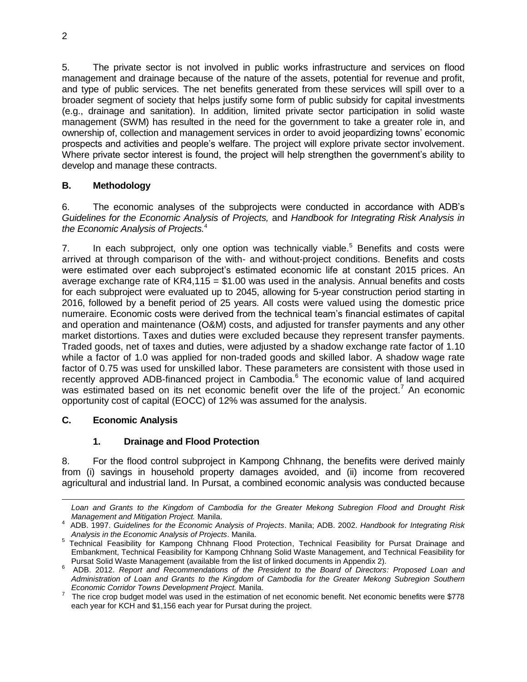5. The private sector is not involved in public works infrastructure and services on flood management and drainage because of the nature of the assets, potential for revenue and profit, and type of public services. The net benefits generated from these services will spill over to a broader segment of society that helps justify some form of public subsidy for capital investments (e.g., drainage and sanitation). In addition, limited private sector participation in solid waste management (SWM) has resulted in the need for the government to take a greater role in, and ownership of, collection and management services in order to avoid jeopardizing towns' economic prospects and activities and people's welfare. The project will explore private sector involvement. Where private sector interest is found, the project will help strengthen the government's ability to develop and manage these contracts.

### **B. Methodology**

6. The economic analyses of the subprojects were conducted in accordance with ADB's *Guidelines for the Economic Analysis of Projects,* and *Handbook for Integrating Risk Analysis in the Economic Analysis of Projects.*<sup>4</sup>

7. In each subproject, only one option was technically viable.<sup>5</sup> Benefits and costs were arrived at through comparison of the with- and without-project conditions. Benefits and costs were estimated over each subproject's estimated economic life at constant 2015 prices. An average exchange rate of  $KR4,115 = $1.00$  was used in the analysis. Annual benefits and costs for each subproject were evaluated up to 2045, allowing for 5-year construction period starting in 2016, followed by a benefit period of 25 years. All costs were valued using the domestic price numeraire. Economic costs were derived from the technical team's financial estimates of capital and operation and maintenance (O&M) costs, and adjusted for transfer payments and any other market distortions. Taxes and duties were excluded because they represent transfer payments. Traded goods, net of taxes and duties, were adjusted by a shadow exchange rate factor of 1.10 while a factor of 1.0 was applied for non-traded goods and skilled labor. A shadow wage rate factor of 0.75 was used for unskilled labor. These parameters are consistent with those used in recently approved ADB-financed project in Cambodia.<sup>6</sup> The economic value of land acquired was estimated based on its net economic benefit over the life of the project.<sup>7</sup> An economic opportunity cost of capital (EOCC) of 12% was assumed for the analysis.

### **C. Economic Analysis**

l

# **1. Drainage and Flood Protection**

8. For the flood control subproject in Kampong Chhnang, the benefits were derived mainly from (i) savings in household property damages avoided, and (ii) income from recovered agricultural and industrial land. In Pursat, a combined economic analysis was conducted because

*Loan and Grants to the Kingdom of Cambodia for the Greater Mekong Subregion Flood and Drought Risk Management and Mitigation Project.* Manila.

<sup>4</sup> ADB. 1997. *Guidelines for the Economic Analysis of Projects*. Manila; ADB. 2002. *Handbook for Integrating Risk Analysis in the Economic Analysis of Projects*. Manila.

<sup>&</sup>lt;sup>5</sup> Technical Feasibility for Kampong Chhnang Flood Protection, Technical Feasibility for Pursat Drainage and Embankment, Technical Feasibility for Kampong Chhnang Solid Waste Management, and Technical Feasibility for Pursat Solid Waste Management (available from the list of linked documents in Appendix 2).

<sup>6</sup> ADB. 2012. *Report and Recommendations of the President to the Board of Directors: Proposed Loan and Administration of Loan and Grants to the Kingdom of Cambodia for the Greater Mekong Subregion Southern Economic Corridor Towns Development Project.* Manila.

 $7$  The rice crop budget model was used in the estimation of net economic benefit. Net economic benefits were \$778 each year for KCH and \$1,156 each year for Pursat during the project.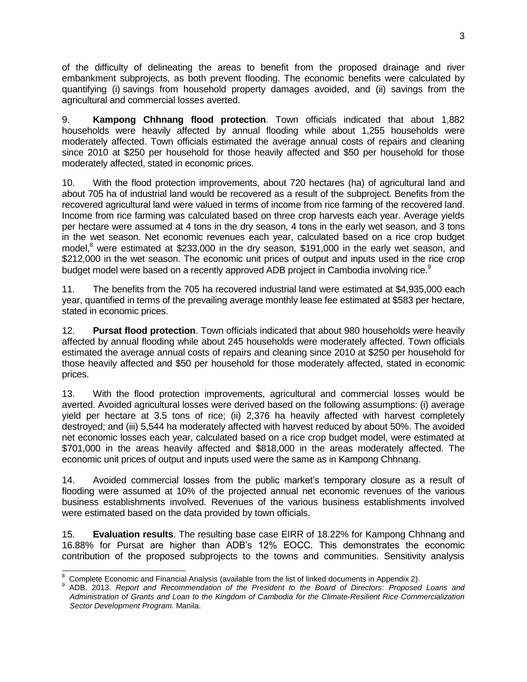of the difficulty of delineating the areas to benefit from the proposed drainage and river embankment subprojects, as both prevent flooding. The economic benefits were calculated by quantifying (i) savings from household property damages avoided, and (ii) savings from the agricultural and commercial losses averted.

9. **Kampong Chhnang flood protection**. Town officials indicated that about 1,882 households were heavily affected by annual flooding while about 1,255 households were moderately affected. Town officials estimated the average annual costs of repairs and cleaning since 2010 at \$250 per household for those heavily affected and \$50 per household for those moderately affected, stated in economic prices.

10. With the flood protection improvements, about 720 hectares (ha) of agricultural land and about 705 ha of industrial land would be recovered as a result of the subproject. Benefits from the recovered agricultural land were valued in terms of income from rice farming of the recovered land. Income from rice farming was calculated based on three crop harvests each year. Average yields per hectare were assumed at 4 tons in the dry season, 4 tons in the early wet season, and 3 tons in the wet season. Net economic revenues each year, calculated based on a rice crop budget model, $^8$  were estimated at \$233,000 in the dry season, \$191,000 in the early wet season, and \$212,000 in the wet season. The economic unit prices of output and inputs used in the rice crop budget model were based on a recently approved ADB project in Cambodia involving rice.<sup>9</sup>

11. The benefits from the 705 ha recovered industrial land were estimated at \$4,935,000 each year, quantified in terms of the prevailing average monthly lease fee estimated at \$583 per hectare, stated in economic prices.

12. **Pursat flood protection**. Town officials indicated that about 980 households were heavily affected by annual flooding while about 245 households were moderately affected. Town officials estimated the average annual costs of repairs and cleaning since 2010 at \$250 per household for those heavily affected and \$50 per household for those moderately affected, stated in economic prices.

13. With the flood protection improvements, agricultural and commercial losses would be averted. Avoided agricultural losses were derived based on the following assumptions: (i) average yield per hectare at 3.5 tons of rice; (ii) 2,376 ha heavily affected with harvest completely destroyed; and (iii) 5,544 ha moderately affected with harvest reduced by about 50%. The avoided net economic losses each year, calculated based on a rice crop budget model, were estimated at \$701,000 in the areas heavily affected and \$818,000 in the areas moderately affected. The economic unit prices of output and inputs used were the same as in Kampong Chhnang.

14. Avoided commercial losses from the public market's temporary closure as a result of flooding were assumed at 10% of the projected annual net economic revenues of the various business establishments involved. Revenues of the various business establishments involved were estimated based on the data provided by town officials.

15. **Evaluation results**. The resulting base case EIRR of 18.22% for Kampong Chhnang and 16.88% for Pursat are higher than ADB's 12% EOCC. This demonstrates the economic contribution of the proposed subprojects to the towns and communities. Sensitivity analysis

 $\overline{a}$ <sup>8</sup> Complete Economic and Financial Analysis (available from the list of linked documents in Appendix 2).

<sup>9</sup> ADB. 2013. *Report and Recommendation of the President to the Board of Directors: Proposed Loans and Administration of Grants and Loan to the Kingdom of Cambodia for the Climate-Resilient Rice Commercialization Sector Development Program.* Manila.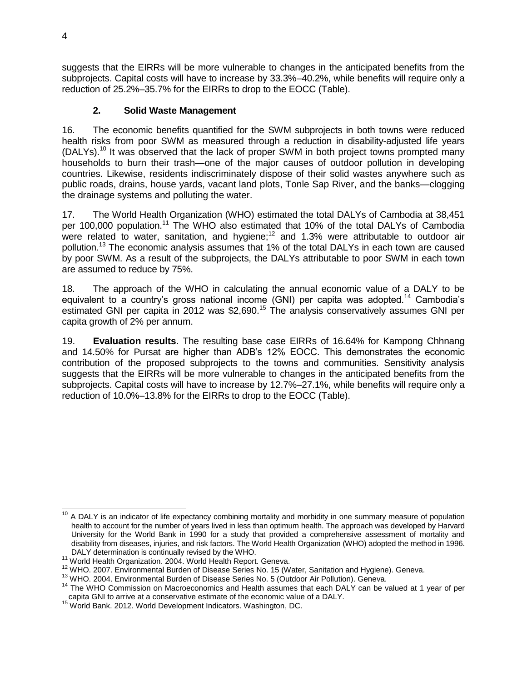suggests that the EIRRs will be more vulnerable to changes in the anticipated benefits from the subprojects. Capital costs will have to increase by 33.3%–40.2%, while benefits will require only a reduction of 25.2%–35.7% for the EIRRs to drop to the EOCC (Table).

## **2. Solid Waste Management**

16. The economic benefits quantified for the SWM subprojects in both towns were reduced health risks from poor SWM as measured through a reduction in disability-adjusted life years  $(DALYs).<sup>10</sup>$  It was observed that the lack of proper SWM in both project towns prompted many households to burn their trash—one of the major causes of outdoor pollution in developing countries. Likewise, residents indiscriminately dispose of their solid wastes anywhere such as public roads, drains, house yards, vacant land plots, Tonle Sap River, and the banks—clogging the drainage systems and polluting the water.

17. The World Health Organization (WHO) estimated the total DALYs of Cambodia at 38,451 per 100,000 population.<sup>11</sup> The WHO also estimated that 10% of the total DALYs of Cambodia were related to water, sanitation, and hygiene; <sup>12</sup> and 1.3% were attributable to outdoor air pollution.<sup>13</sup> The economic analysis assumes that 1% of the total DALYs in each town are caused by poor SWM. As a result of the subprojects, the DALYs attributable to poor SWM in each town are assumed to reduce by 75%.

18. The approach of the WHO in calculating the annual economic value of a DALY to be equivalent to a country's gross national income (GNI) per capita was adopted.<sup>14</sup> Cambodia's estimated GNI per capita in 2012 was \$2,690.<sup>15</sup> The analysis conservatively assumes GNI per capita growth of 2% per annum.

19. **Evaluation results**. The resulting base case EIRRs of 16.64% for Kampong Chhnang and 14.50% for Pursat are higher than ADB's 12% EOCC. This demonstrates the economic contribution of the proposed subprojects to the towns and communities. Sensitivity analysis suggests that the EIRRs will be more vulnerable to changes in the anticipated benefits from the subprojects. Capital costs will have to increase by 12.7%–27.1%, while benefits will require only a reduction of 10.0%–13.8% for the EIRRs to drop to the EOCC (Table).

 $\overline{\phantom{a}}$  $10$  A DALY is an indicator of life expectancy combining mortality and morbidity in one summary measure of population health to account for the number of years lived in less than optimum health. The approach was developed by Harvard University for the World Bank in 1990 for a study that provided a comprehensive assessment of mortality and disability from diseases, injuries, and risk factors. The World Health Organization (WHO) adopted the method in 1996. DALY determination is continually revised by the WHO.

<sup>11</sup> World Health Organization. 2004. World Health Report. Geneva.

<sup>12</sup> WHO. 2007. Environmental Burden of Disease Series No. 15 (Water, Sanitation and Hygiene). Geneva.

<sup>&</sup>lt;sup>13</sup> WHO. 2004. Environmental Burden of Disease Series No. 5 (Outdoor Air Pollution). Geneva.

<sup>&</sup>lt;sup>14</sup> The WHO Commission on Macroeconomics and Health assumes that each DALY can be valued at 1 year of per capita GNI to arrive at a conservative estimate of the economic value of a DALY.

<sup>15</sup> World Bank. 2012. World Development Indicators. Washington, DC.